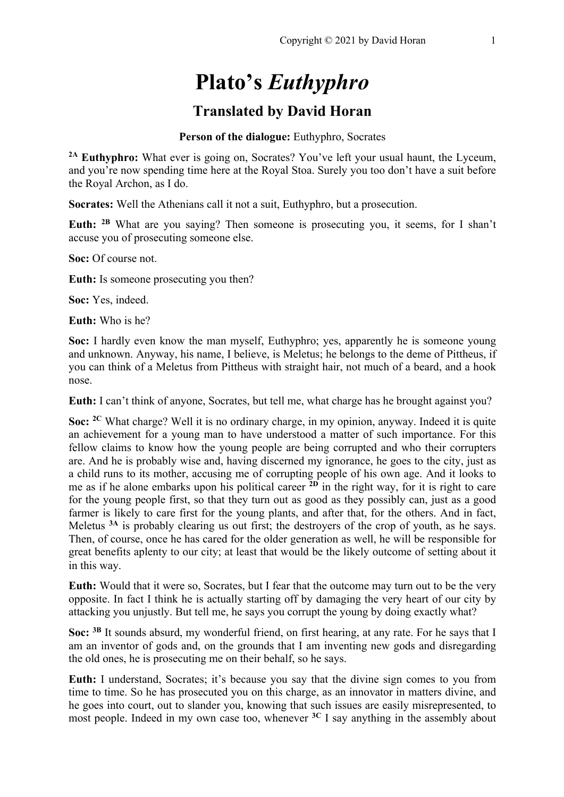# **Plato's** *Euthyphro*

# **Translated by David Horan**

## **Person of the dialogue:** Euthyphro, Socrates

**2A Euthyphro:** What ever is going on, Socrates? You've left your usual haunt, the Lyceum, and you're now spending time here at the Royal Stoa. Surely you too don't have a suit before the Royal Archon, as I do.

**Socrates:** Well the Athenians call it not a suit, Euthyphro, but a prosecution.

**Euth: 2B** What are you saying? Then someone is prosecuting you, it seems, for I shan't accuse you of prosecuting someone else.

**Soc:** Of course not.

**Euth:** Is someone prosecuting you then?

**Soc:** Yes, indeed.

**Euth:** Who is he?

**Soc:** I hardly even know the man myself, Euthyphro; yes, apparently he is someone young and unknown. Anyway, his name, I believe, is Meletus; he belongs to the deme of Pittheus, if you can think of a Meletus from Pittheus with straight hair, not much of a beard, and a hook nose.

**Euth:** I can't think of anyone, Socrates, but tell me, what charge has he brought against you?

**Soc: 2C** What charge? Well it is no ordinary charge, in my opinion, anyway. Indeed it is quite an achievement for a young man to have understood a matter of such importance. For this fellow claims to know how the young people are being corrupted and who their corrupters are. And he is probably wise and, having discerned my ignorance, he goes to the city, just as a child runs to its mother, accusing me of corrupting people of his own age. And it looks to me as if he alone embarks upon his political career **2D** in the right way, for it is right to care for the young people first, so that they turn out as good as they possibly can, just as a good farmer is likely to care first for the young plants, and after that, for the others. And in fact, Meletus **3A** is probably clearing us out first; the destroyers of the crop of youth, as he says. Then, of course, once he has cared for the older generation as well, he will be responsible for great benefits aplenty to our city; at least that would be the likely outcome of setting about it in this way.

**Euth:** Would that it were so, Socrates, but I fear that the outcome may turn out to be the very opposite. In fact I think he is actually starting off by damaging the very heart of our city by attacking you unjustly. But tell me, he says you corrupt the young by doing exactly what?

**Soc: 3B** It sounds absurd, my wonderful friend, on first hearing, at any rate. For he says that I am an inventor of gods and, on the grounds that I am inventing new gods and disregarding the old ones, he is prosecuting me on their behalf, so he says.

**Euth:** I understand, Socrates; it's because you say that the divine sign comes to you from time to time. So he has prosecuted you on this charge, as an innovator in matters divine, and he goes into court, out to slander you, knowing that such issues are easily misrepresented, to most people. Indeed in my own case too, whenever **3C** I say anything in the assembly about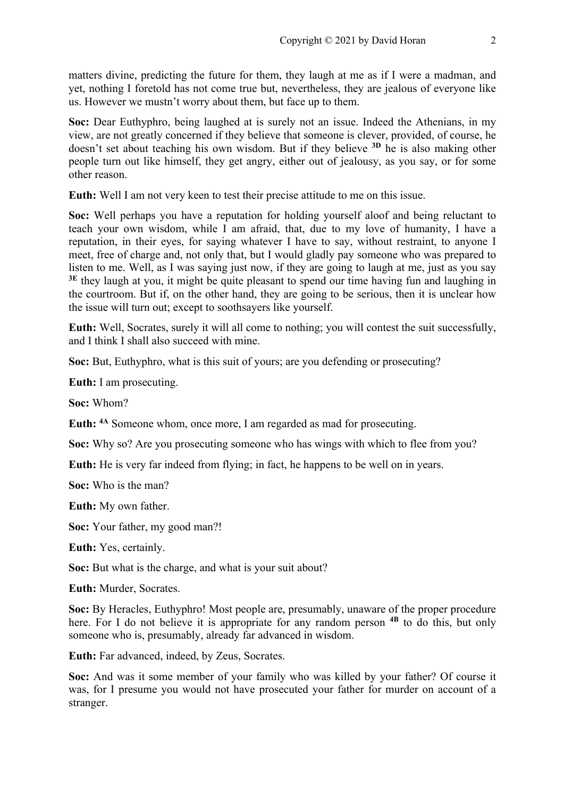matters divine, predicting the future for them, they laugh at me as if I were a madman, and yet, nothing I foretold has not come true but, nevertheless, they are jealous of everyone like us. However we mustn't worry about them, but face up to them.

**Soc:** Dear Euthyphro, being laughed at is surely not an issue. Indeed the Athenians, in my view, are not greatly concerned if they believe that someone is clever, provided, of course, he doesn't set about teaching his own wisdom. But if they believe **3D** he is also making other people turn out like himself, they get angry, either out of jealousy, as you say, or for some other reason.

**Euth:** Well I am not very keen to test their precise attitude to me on this issue.

**Soc:** Well perhaps you have a reputation for holding yourself aloof and being reluctant to teach your own wisdom, while I am afraid, that, due to my love of humanity, I have a reputation, in their eyes, for saying whatever I have to say, without restraint, to anyone I meet, free of charge and, not only that, but I would gladly pay someone who was prepared to listen to me. Well, as I was saying just now, if they are going to laugh at me, just as you say <sup>3E</sup> they laugh at you, it might be quite pleasant to spend our time having fun and laughing in the courtroom. But if, on the other hand, they are going to be serious, then it is unclear how the issue will turn out; except to soothsayers like yourself.

**Euth:** Well, Socrates, surely it will all come to nothing; you will contest the suit successfully, and I think I shall also succeed with mine.

**Soc:** But, Euthyphro, what is this suit of yours; are you defending or prosecuting?

**Euth:** I am prosecuting.

**Soc:** Whom?

**Euth: 4A** Someone whom, once more, I am regarded as mad for prosecuting.

**Soc:** Why so? Are you prosecuting someone who has wings with which to flee from you?

**Euth:** He is very far indeed from flying; in fact, he happens to be well on in years.

**Soc:** Who is the man?

**Euth:** My own father.

**Soc:** Your father, my good man?!

**Euth:** Yes, certainly.

**Soc:** But what is the charge, and what is your suit about?

**Euth:** Murder, Socrates.

**Soc:** By Heracles, Euthyphro! Most people are, presumably, unaware of the proper procedure here. For I do not believe it is appropriate for any random person **4B** to do this, but only someone who is, presumably, already far advanced in wisdom.

**Euth:** Far advanced, indeed, by Zeus, Socrates.

**Soc:** And was it some member of your family who was killed by your father? Of course it was, for I presume you would not have prosecuted your father for murder on account of a stranger.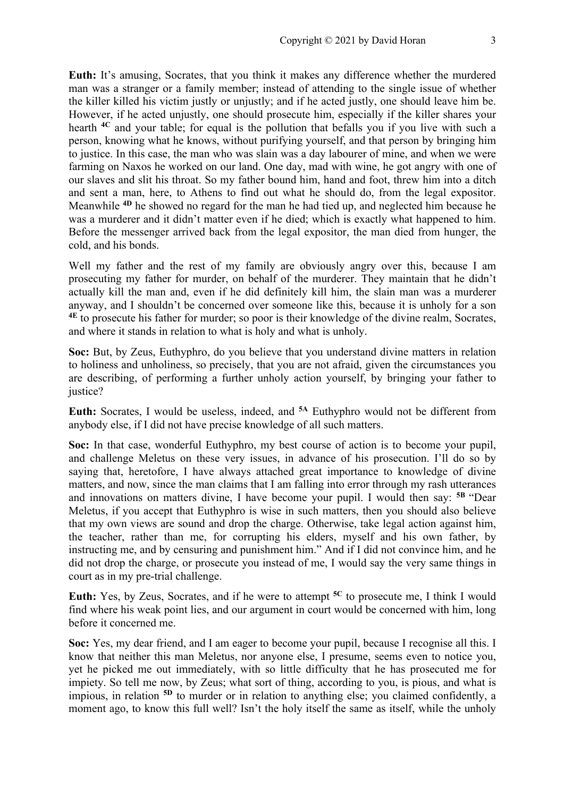**Euth:** It's amusing, Socrates, that you think it makes any difference whether the murdered man was a stranger or a family member; instead of attending to the single issue of whether the killer killed his victim justly or unjustly; and if he acted justly, one should leave him be. However, if he acted unjustly, one should prosecute him, especially if the killer shares your hearth **4C** and your table; for equal is the pollution that befalls you if you live with such a person, knowing what he knows, without purifying yourself, and that person by bringing him to justice. In this case, the man who was slain was a day labourer of mine, and when we were farming on Naxos he worked on our land. One day, mad with wine, he got angry with one of our slaves and slit his throat. So my father bound him, hand and foot, threw him into a ditch and sent a man, here, to Athens to find out what he should do, from the legal expositor. Meanwhile **4D** he showed no regard for the man he had tied up, and neglected him because he was a murderer and it didn't matter even if he died; which is exactly what happened to him. Before the messenger arrived back from the legal expositor, the man died from hunger, the cold, and his bonds.

Well my father and the rest of my family are obviously angry over this, because I am prosecuting my father for murder, on behalf of the murderer. They maintain that he didn't actually kill the man and, even if he did definitely kill him, the slain man was a murderer anyway, and I shouldn't be concerned over someone like this, because it is unholy for a son **4E** to prosecute his father for murder; so poor is their knowledge of the divine realm, Socrates, and where it stands in relation to what is holy and what is unholy.

**Soc:** But, by Zeus, Euthyphro, do you believe that you understand divine matters in relation to holiness and unholiness, so precisely, that you are not afraid, given the circumstances you are describing, of performing a further unholy action yourself, by bringing your father to justice?

**Euth:** Socrates, I would be useless, indeed, and **5A** Euthyphro would not be different from anybody else, if I did not have precise knowledge of all such matters.

**Soc:** In that case, wonderful Euthyphro, my best course of action is to become your pupil, and challenge Meletus on these very issues, in advance of his prosecution. I'll do so by saying that, heretofore, I have always attached great importance to knowledge of divine matters, and now, since the man claims that I am falling into error through my rash utterances and innovations on matters divine, I have become your pupil. I would then say: **5B** "Dear Meletus, if you accept that Euthyphro is wise in such matters, then you should also believe that my own views are sound and drop the charge. Otherwise, take legal action against him, the teacher, rather than me, for corrupting his elders, myself and his own father, by instructing me, and by censuring and punishment him." And if I did not convince him, and he did not drop the charge, or prosecute you instead of me, I would say the very same things in court as in my pre-trial challenge.

**Euth:** Yes, by Zeus, Socrates, and if he were to attempt **5C** to prosecute me, I think I would find where his weak point lies, and our argument in court would be concerned with him, long before it concerned me.

**Soc:** Yes, my dear friend, and I am eager to become your pupil, because I recognise all this. I know that neither this man Meletus, nor anyone else, I presume, seems even to notice you, yet he picked me out immediately, with so little difficulty that he has prosecuted me for impiety. So tell me now, by Zeus; what sort of thing, according to you, is pious, and what is impious, in relation **5D** to murder or in relation to anything else; you claimed confidently, a moment ago, to know this full well? Isn't the holy itself the same as itself, while the unholy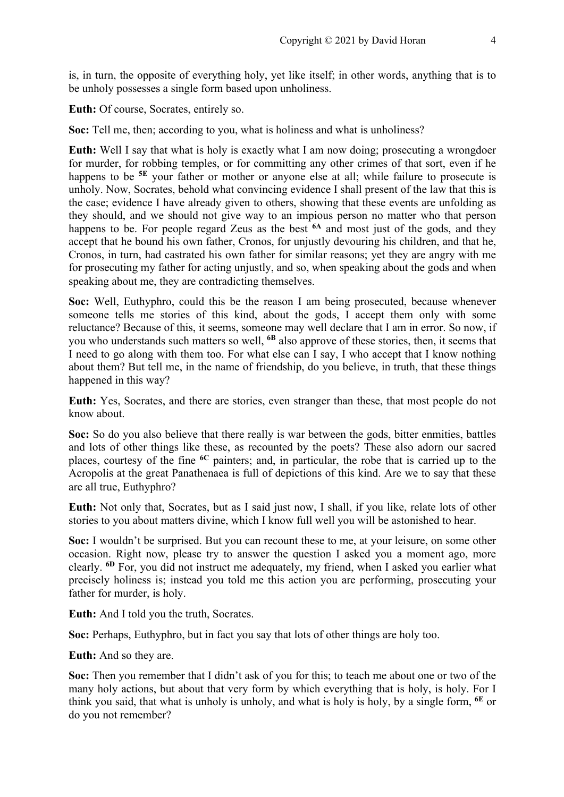is, in turn, the opposite of everything holy, yet like itself; in other words, anything that is to be unholy possesses a single form based upon unholiness.

**Euth:** Of course, Socrates, entirely so.

**Soc:** Tell me, then; according to you, what is holiness and what is unholiness?

**Euth:** Well I say that what is holy is exactly what I am now doing; prosecuting a wrongdoer for murder, for robbing temples, or for committing any other crimes of that sort, even if he happens to be <sup>5E</sup> your father or mother or anyone else at all; while failure to prosecute is unholy. Now, Socrates, behold what convincing evidence I shall present of the law that this is the case; evidence I have already given to others, showing that these events are unfolding as they should, and we should not give way to an impious person no matter who that person happens to be. For people regard Zeus as the best **6A** and most just of the gods, and they accept that he bound his own father, Cronos, for unjustly devouring his children, and that he, Cronos, in turn, had castrated his own father for similar reasons; yet they are angry with me for prosecuting my father for acting unjustly, and so, when speaking about the gods and when speaking about me, they are contradicting themselves.

**Soc:** Well, Euthyphro, could this be the reason I am being prosecuted, because whenever someone tells me stories of this kind, about the gods, I accept them only with some reluctance? Because of this, it seems, someone may well declare that I am in error. So now, if you who understands such matters so well, **6B** also approve of these stories, then, it seems that I need to go along with them too. For what else can I say, I who accept that I know nothing about them? But tell me, in the name of friendship, do you believe, in truth, that these things happened in this way?

**Euth:** Yes, Socrates, and there are stories, even stranger than these, that most people do not know about.

**Soc:** So do you also believe that there really is war between the gods, bitter enmities, battles and lots of other things like these, as recounted by the poets? These also adorn our sacred places, courtesy of the fine **6C** painters; and, in particular, the robe that is carried up to the Acropolis at the great Panathenaea is full of depictions of this kind. Are we to say that these are all true, Euthyphro?

**Euth:** Not only that, Socrates, but as I said just now, I shall, if you like, relate lots of other stories to you about matters divine, which I know full well you will be astonished to hear.

**Soc:** I wouldn't be surprised. But you can recount these to me, at your leisure, on some other occasion. Right now, please try to answer the question I asked you a moment ago, more clearly. **6D** For, you did not instruct me adequately, my friend, when I asked you earlier what precisely holiness is; instead you told me this action you are performing, prosecuting your father for murder, is holy.

**Euth:** And I told you the truth, Socrates.

**Soc:** Perhaps, Euthyphro, but in fact you say that lots of other things are holy too.

**Euth:** And so they are.

**Soc:** Then you remember that I didn't ask of you for this; to teach me about one or two of the many holy actions, but about that very form by which everything that is holy, is holy. For I think you said, that what is unholy is unholy, and what is holy is holy, by a single form, **6E** or do you not remember?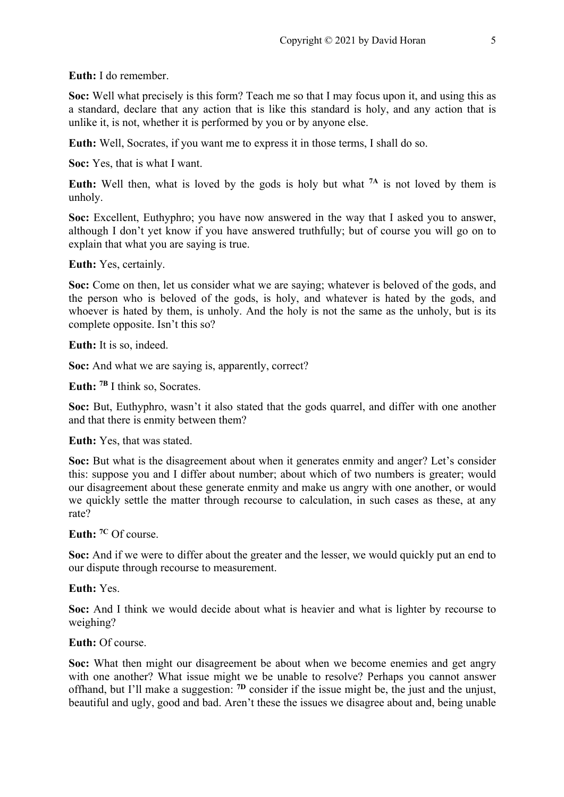**Euth:** I do remember.

**Soc:** Well what precisely is this form? Teach me so that I may focus upon it, and using this as a standard, declare that any action that is like this standard is holy, and any action that is unlike it, is not, whether it is performed by you or by anyone else.

**Euth:** Well, Socrates, if you want me to express it in those terms, I shall do so.

**Soc:** Yes, that is what I want.

**Euth:** Well then, what is loved by the gods is holy but what **7A** is not loved by them is unholy.

**Soc:** Excellent, Euthyphro; you have now answered in the way that I asked you to answer, although I don't yet know if you have answered truthfully; but of course you will go on to explain that what you are saying is true.

**Euth:** Yes, certainly.

**Soc:** Come on then, let us consider what we are saying; whatever is beloved of the gods, and the person who is beloved of the gods, is holy, and whatever is hated by the gods, and whoever is hated by them, is unholy. And the holy is not the same as the unholy, but is its complete opposite. Isn't this so?

**Euth:** It is so, indeed.

**Soc:** And what we are saying is, apparently, correct?

**Euth: 7B** I think so, Socrates.

**Soc:** But, Euthyphro, wasn't it also stated that the gods quarrel, and differ with one another and that there is enmity between them?

**Euth:** Yes, that was stated.

**Soc:** But what is the disagreement about when it generates enmity and anger? Let's consider this: suppose you and I differ about number; about which of two numbers is greater; would our disagreement about these generate enmity and make us angry with one another, or would we quickly settle the matter through recourse to calculation, in such cases as these, at any rate?

**Euth: 7C** Of course.

**Soc:** And if we were to differ about the greater and the lesser, we would quickly put an end to our dispute through recourse to measurement.

**Euth:** Yes.

**Soc:** And I think we would decide about what is heavier and what is lighter by recourse to weighing?

**Euth:** Of course.

**Soc:** What then might our disagreement be about when we become enemies and get angry with one another? What issue might we be unable to resolve? Perhaps you cannot answer offhand, but I'll make a suggestion: **7D** consider if the issue might be, the just and the unjust, beautiful and ugly, good and bad. Aren't these the issues we disagree about and, being unable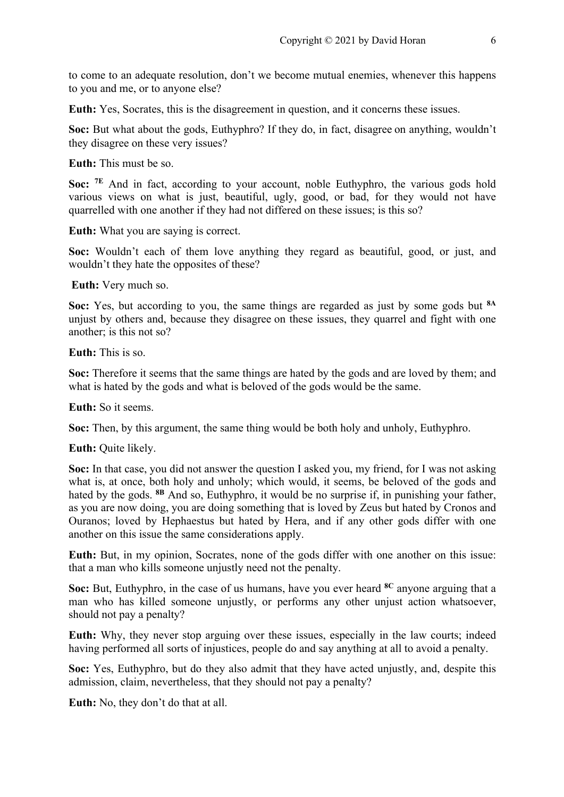to come to an adequate resolution, don't we become mutual enemies, whenever this happens to you and me, or to anyone else?

**Euth:** Yes, Socrates, this is the disagreement in question, and it concerns these issues.

**Soc:** But what about the gods, Euthyphro? If they do, in fact, disagree on anything, wouldn't they disagree on these very issues?

**Euth:** This must be so.

**Soc:** <sup>7E</sup> And in fact, according to your account, noble Euthyphro, the various gods hold various views on what is just, beautiful, ugly, good, or bad, for they would not have quarrelled with one another if they had not differed on these issues; is this so?

**Euth:** What you are saying is correct.

**Soc:** Wouldn't each of them love anything they regard as beautiful, good, or just, and wouldn't they hate the opposites of these?

**Euth:** Very much so.

**Soc:** Yes, but according to you, the same things are regarded as just by some gods but **8A** unjust by others and, because they disagree on these issues, they quarrel and fight with one another; is this not so?

**Euth:** This is so.

**Soc:** Therefore it seems that the same things are hated by the gods and are loved by them; and what is hated by the gods and what is beloved of the gods would be the same.

**Euth:** So it seems.

**Soc:** Then, by this argument, the same thing would be both holy and unholy, Euthyphro.

**Euth:** Quite likely.

**Soc:** In that case, you did not answer the question I asked you, my friend, for I was not asking what is, at once, both holy and unholy; which would, it seems, be beloved of the gods and hated by the gods. **8B** And so, Euthyphro, it would be no surprise if, in punishing your father, as you are now doing, you are doing something that is loved by Zeus but hated by Cronos and Ouranos; loved by Hephaestus but hated by Hera, and if any other gods differ with one another on this issue the same considerations apply.

**Euth:** But, in my opinion, Socrates, none of the gods differ with one another on this issue: that a man who kills someone unjustly need not the penalty.

**Soc:** But, Euthyphro, in the case of us humans, have you ever heard **8C** anyone arguing that a man who has killed someone unjustly, or performs any other unjust action whatsoever, should not pay a penalty?

**Euth:** Why, they never stop arguing over these issues, especially in the law courts; indeed having performed all sorts of injustices, people do and say anything at all to avoid a penalty.

**Soc:** Yes, Euthyphro, but do they also admit that they have acted unjustly, and, despite this admission, claim, nevertheless, that they should not pay a penalty?

**Euth:** No, they don't do that at all.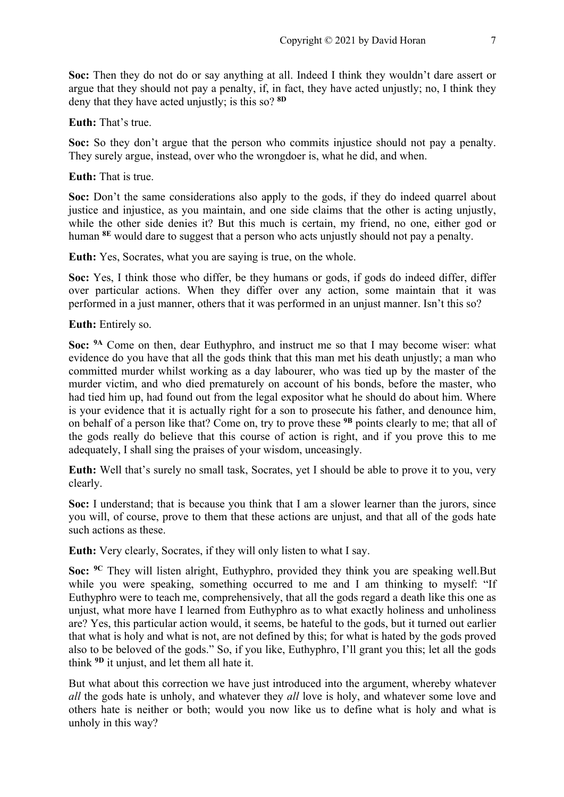**Soc:** Then they do not do or say anything at all. Indeed I think they wouldn't dare assert or argue that they should not pay a penalty, if, in fact, they have acted unjustly; no, I think they deny that they have acted unjustly; is this so? **8D**

# **Euth:** That's true.

**Soc:** So they don't argue that the person who commits injustice should not pay a penalty. They surely argue, instead, over who the wrongdoer is, what he did, and when.

#### **Euth:** That is true.

Soc: Don't the same considerations also apply to the gods, if they do indeed quarrel about justice and injustice, as you maintain, and one side claims that the other is acting unjustly, while the other side denies it? But this much is certain, my friend, no one, either god or human **8E** would dare to suggest that a person who acts unjustly should not pay a penalty.

**Euth:** Yes, Socrates, what you are saying is true, on the whole.

**Soc:** Yes, I think those who differ, be they humans or gods, if gods do indeed differ, differ over particular actions. When they differ over any action, some maintain that it was performed in a just manner, others that it was performed in an unjust manner. Isn't this so?

**Euth:** Entirely so.

**Soc: 9A** Come on then, dear Euthyphro, and instruct me so that I may become wiser: what evidence do you have that all the gods think that this man met his death unjustly; a man who committed murder whilst working as a day labourer, who was tied up by the master of the murder victim, and who died prematurely on account of his bonds, before the master, who had tied him up, had found out from the legal expositor what he should do about him. Where is your evidence that it is actually right for a son to prosecute his father, and denounce him, on behalf of a person like that? Come on, try to prove these **9B** points clearly to me; that all of the gods really do believe that this course of action is right, and if you prove this to me adequately, I shall sing the praises of your wisdom, unceasingly.

**Euth:** Well that's surely no small task, Socrates, yet I should be able to prove it to you, very clearly.

**Soc:** I understand; that is because you think that I am a slower learner than the jurors, since you will, of course, prove to them that these actions are unjust, and that all of the gods hate such actions as these.

**Euth:** Very clearly, Socrates, if they will only listen to what I say.

**Soc: 9C** They will listen alright, Euthyphro, provided they think you are speaking well.But while you were speaking, something occurred to me and I am thinking to myself: "If Euthyphro were to teach me, comprehensively, that all the gods regard a death like this one as unjust, what more have I learned from Euthyphro as to what exactly holiness and unholiness are? Yes, this particular action would, it seems, be hateful to the gods, but it turned out earlier that what is holy and what is not, are not defined by this; for what is hated by the gods proved also to be beloved of the gods." So, if you like, Euthyphro, I'll grant you this; let all the gods think **9D** it unjust, and let them all hate it.

But what about this correction we have just introduced into the argument, whereby whatever *all* the gods hate is unholy, and whatever they *all* love is holy, and whatever some love and others hate is neither or both; would you now like us to define what is holy and what is unholy in this way?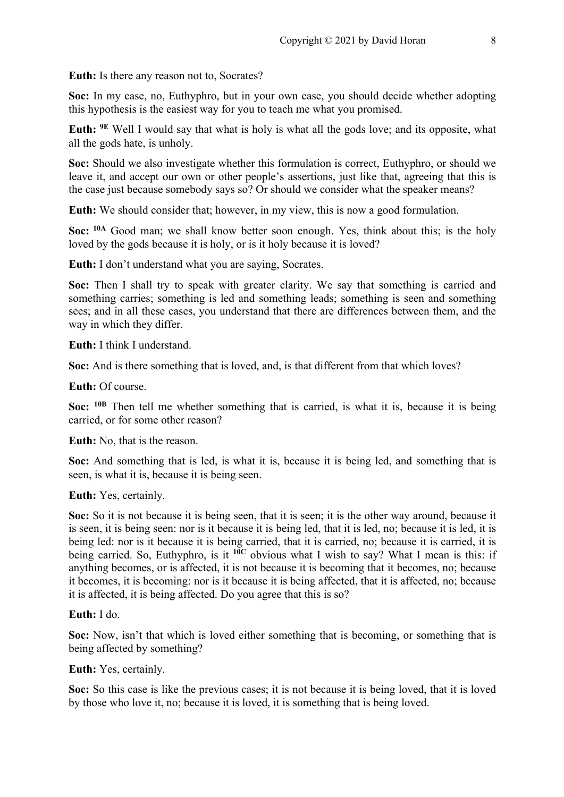**Euth:** Is there any reason not to, Socrates?

**Soc:** In my case, no, Euthyphro, but in your own case, you should decide whether adopting this hypothesis is the easiest way for you to teach me what you promised.

**Euth: 9E** Well I would say that what is holy is what all the gods love; and its opposite, what all the gods hate, is unholy.

**Soc:** Should we also investigate whether this formulation is correct, Euthyphro, or should we leave it, and accept our own or other people's assertions, just like that, agreeing that this is the case just because somebody says so? Or should we consider what the speaker means?

**Euth:** We should consider that; however, in my view, this is now a good formulation.

**Soc: 10A** Good man; we shall know better soon enough. Yes, think about this; is the holy loved by the gods because it is holy, or is it holy because it is loved?

**Euth:** I don't understand what you are saying, Socrates.

**Soc:** Then I shall try to speak with greater clarity. We say that something is carried and something carries; something is led and something leads; something is seen and something sees; and in all these cases, you understand that there are differences between them, and the way in which they differ.

**Euth:** I think I understand.

**Soc:** And is there something that is loved, and, is that different from that which loves?

**Euth:** Of course.

**Soc: 10B** Then tell me whether something that is carried, is what it is, because it is being carried, or for some other reason?

**Euth:** No, that is the reason.

**Soc:** And something that is led, is what it is, because it is being led, and something that is seen, is what it is, because it is being seen.

**Euth:** Yes, certainly.

**Soc:** So it is not because it is being seen, that it is seen; it is the other way around, because it is seen, it is being seen: nor is it because it is being led, that it is led, no; because it is led, it is being led: nor is it because it is being carried, that it is carried, no; because it is carried, it is being carried. So, Euthyphro, is it **10C** obvious what I wish to say? What I mean is this: if anything becomes, or is affected, it is not because it is becoming that it becomes, no; because it becomes, it is becoming: nor is it because it is being affected, that it is affected, no; because it is affected, it is being affected. Do you agree that this is so?

## **Euth:** I do.

**Soc:** Now, isn't that which is loved either something that is becoming, or something that is being affected by something?

**Euth:** Yes, certainly.

**Soc:** So this case is like the previous cases; it is not because it is being loved, that it is loved by those who love it, no; because it is loved, it is something that is being loved.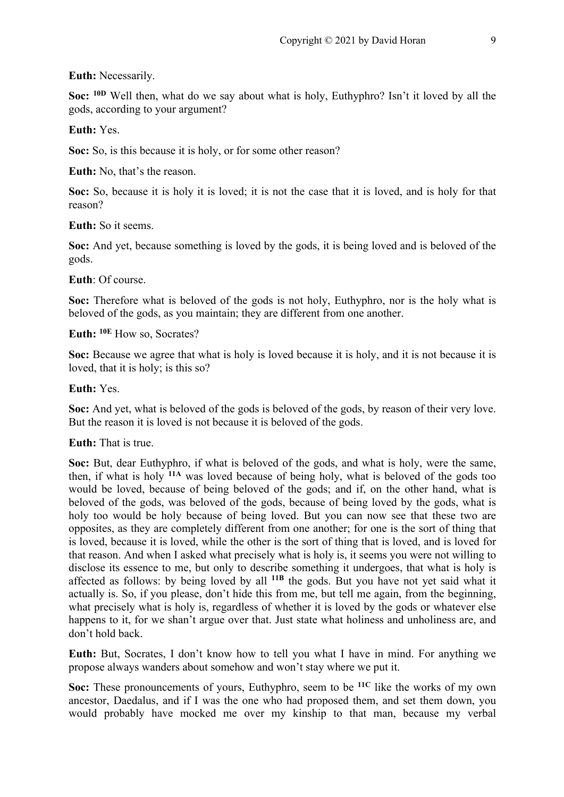#### **Euth:** Necessarily.

**Soc: 10D** Well then, what do we say about what is holy, Euthyphro? Isn't it loved by all the gods, according to your argument?

#### **Euth:** Yes.

**Soc:** So, is this because it is holy, or for some other reason?

**Euth:** No, that's the reason.

**Soc:** So, because it is holy it is loved; it is not the case that it is loved, and is holy for that reason?

# **Euth:** So it seems.

**Soc:** And yet, because something is loved by the gods, it is being loved and is beloved of the gods.

#### **Euth**: Of course.

**Soc:** Therefore what is beloved of the gods is not holy, Euthyphro, nor is the holy what is beloved of the gods, as you maintain; they are different from one another.

**Euth: 10E** How so, Socrates?

**Soc:** Because we agree that what is holy is loved because it is holy, and it is not because it is loved, that it is holy; is this so?

## **Euth:** Yes.

**Soc:** And yet, what is beloved of the gods is beloved of the gods, by reason of their very love. But the reason it is loved is not because it is beloved of the gods.

#### **Euth:** That is true.

**Soc:** But, dear Euthyphro, if what is beloved of the gods, and what is holy, were the same, then, if what is holy **11A** was loved because of being holy, what is beloved of the gods too would be loved, because of being beloved of the gods; and if, on the other hand, what is beloved of the gods, was beloved of the gods, because of being loved by the gods, what is holy too would be holy because of being loved. But you can now see that these two are opposites, as they are completely different from one another; for one is the sort of thing that is loved, because it is loved, while the other is the sort of thing that is loved, and is loved for that reason. And when I asked what precisely what is holy is, it seems you were not willing to disclose its essence to me, but only to describe something it undergoes, that what is holy is affected as follows: by being loved by all **11B** the gods. But you have not yet said what it actually is. So, if you please, don't hide this from me, but tell me again, from the beginning, what precisely what is holy is, regardless of whether it is loved by the gods or whatever else happens to it, for we shan't argue over that. Just state what holiness and unholiness are, and don't hold back.

**Euth:** But, Socrates, I don't know how to tell you what I have in mind. For anything we propose always wanders about somehow and won't stay where we put it.

**Soc:** These pronouncements of yours, Euthyphro, seem to be **11C** like the works of my own ancestor, Daedalus, and if I was the one who had proposed them, and set them down, you would probably have mocked me over my kinship to that man, because my verbal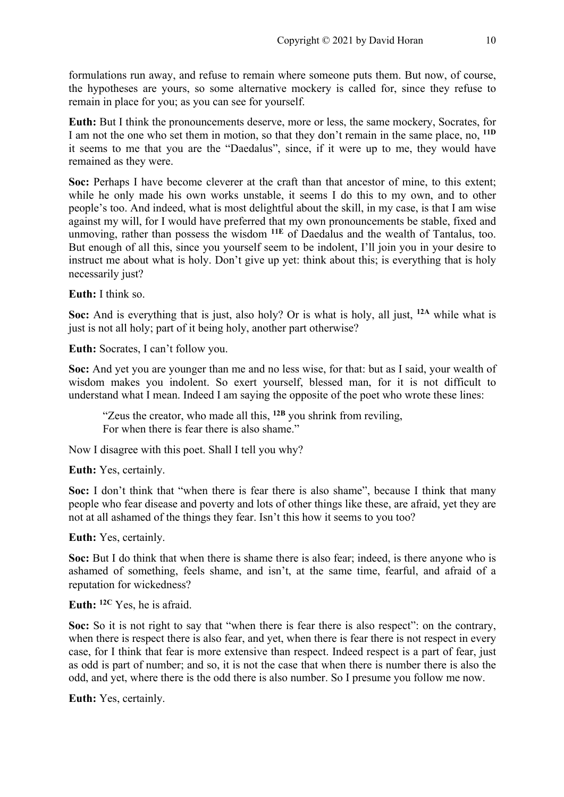formulations run away, and refuse to remain where someone puts them. But now, of course, the hypotheses are yours, so some alternative mockery is called for, since they refuse to remain in place for you; as you can see for yourself.

**Euth:** But I think the pronouncements deserve, more or less, the same mockery, Socrates, for I am not the one who set them in motion, so that they don't remain in the same place, no, **11D** it seems to me that you are the "Daedalus", since, if it were up to me, they would have remained as they were.

**Soc:** Perhaps I have become cleverer at the craft than that ancestor of mine, to this extent; while he only made his own works unstable, it seems I do this to my own, and to other people's too. And indeed, what is most delightful about the skill, in my case, is that I am wise against my will, for I would have preferred that my own pronouncements be stable, fixed and unmoving, rather than possess the wisdom **11E** of Daedalus and the wealth of Tantalus, too. But enough of all this, since you yourself seem to be indolent, I'll join you in your desire to instruct me about what is holy. Don't give up yet: think about this; is everything that is holy necessarily just?

**Euth:** I think so.

**Soc:** And is everything that is just, also holy? Or is what is holy, all just, **12A** while what is just is not all holy; part of it being holy, another part otherwise?

**Euth:** Socrates, I can't follow you.

**Soc:** And yet you are younger than me and no less wise, for that: but as I said, your wealth of wisdom makes you indolent. So exert yourself, blessed man, for it is not difficult to understand what I mean. Indeed I am saying the opposite of the poet who wrote these lines:

"Zeus the creator, who made all this, **12B** you shrink from reviling, For when there is fear there is also shame."

Now I disagree with this poet. Shall I tell you why?

**Euth:** Yes, certainly.

**Soc:** I don't think that "when there is fear there is also shame", because I think that many people who fear disease and poverty and lots of other things like these, are afraid, yet they are not at all ashamed of the things they fear. Isn't this how it seems to you too?

**Euth:** Yes, certainly.

**Soc:** But I do think that when there is shame there is also fear; indeed, is there anyone who is ashamed of something, feels shame, and isn't, at the same time, fearful, and afraid of a reputation for wickedness?

**Euth: 12C** Yes, he is afraid.

Soc: So it is not right to say that "when there is fear there is also respect": on the contrary, when there is respect there is also fear, and yet, when there is fear there is not respect in every case, for I think that fear is more extensive than respect. Indeed respect is a part of fear, just as odd is part of number; and so, it is not the case that when there is number there is also the odd, and yet, where there is the odd there is also number. So I presume you follow me now.

**Euth:** Yes, certainly.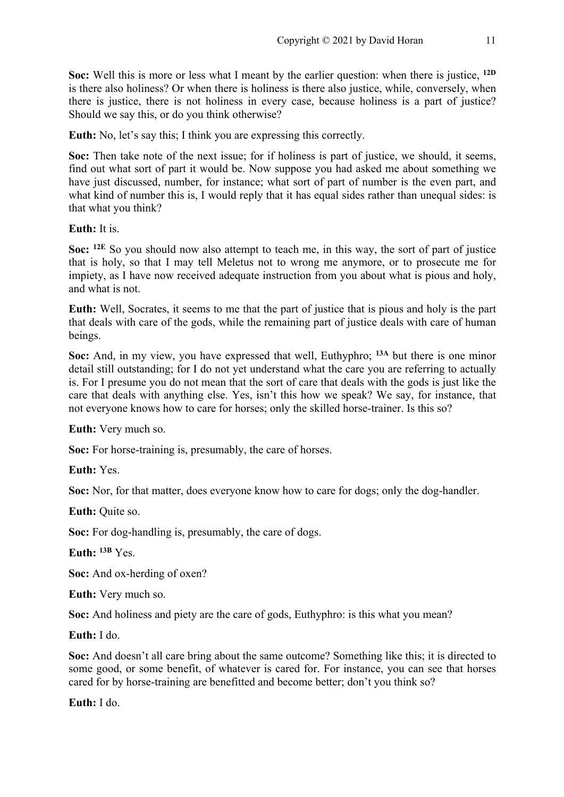**Soc:** Well this is more or less what I meant by the earlier question: when there is justice, **12D** is there also holiness? Or when there is holiness is there also justice, while, conversely, when there is justice, there is not holiness in every case, because holiness is a part of justice? Should we say this, or do you think otherwise?

**Euth:** No, let's say this; I think you are expressing this correctly.

**Soc:** Then take note of the next issue; for if holiness is part of justice, we should, it seems, find out what sort of part it would be. Now suppose you had asked me about something we have just discussed, number, for instance; what sort of part of number is the even part, and what kind of number this is, I would reply that it has equal sides rather than unequal sides: is that what you think?

**Euth:** It is.

**Soc: 12E** So you should now also attempt to teach me, in this way, the sort of part of justice that is holy, so that I may tell Meletus not to wrong me anymore, or to prosecute me for impiety, as I have now received adequate instruction from you about what is pious and holy, and what is not.

**Euth:** Well, Socrates, it seems to me that the part of justice that is pious and holy is the part that deals with care of the gods, while the remaining part of justice deals with care of human beings.

**Soc:** And, in my view, you have expressed that well, Euthyphro; **13A** but there is one minor detail still outstanding; for I do not yet understand what the care you are referring to actually is. For I presume you do not mean that the sort of care that deals with the gods is just like the care that deals with anything else. Yes, isn't this how we speak? We say, for instance, that not everyone knows how to care for horses; only the skilled horse-trainer. Is this so?

**Euth:** Very much so.

**Soc:** For horse-training is, presumably, the care of horses.

**Euth:** Yes.

**Soc:** Nor, for that matter, does everyone know how to care for dogs; only the dog-handler.

**Euth:** Quite so.

**Soc:** For dog-handling is, presumably, the care of dogs.

**Euth: 13B** Yes.

**Soc:** And ox-herding of oxen?

**Euth:** Very much so.

**Soc:** And holiness and piety are the care of gods, Euthyphro: is this what you mean?

**Euth:** I do.

**Soc:** And doesn't all care bring about the same outcome? Something like this; it is directed to some good, or some benefit, of whatever is cared for. For instance, you can see that horses cared for by horse-training are benefitted and become better; don't you think so?

**Euth:** I do.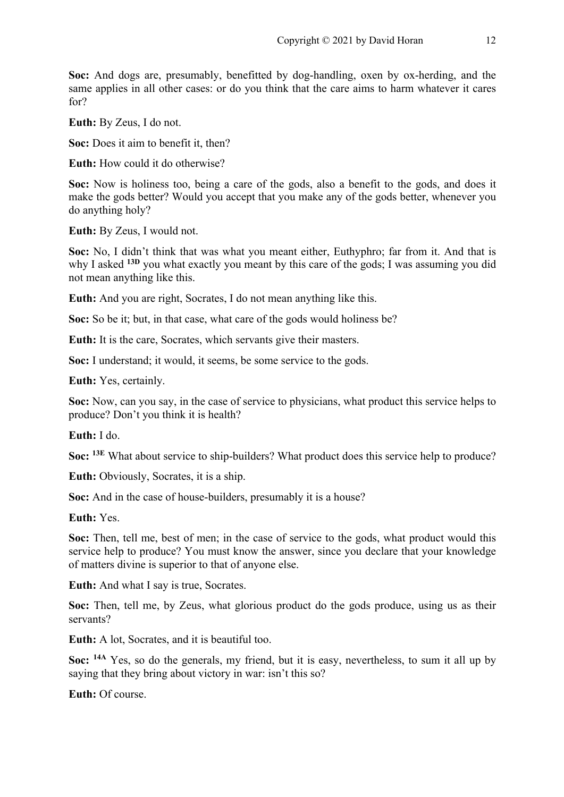**Soc:** And dogs are, presumably, benefitted by dog-handling, oxen by ox-herding, and the same applies in all other cases: or do you think that the care aims to harm whatever it cares for?

**Euth:** By Zeus, I do not.

**Soc:** Does it aim to benefit it, then?

**Euth:** How could it do otherwise?

**Soc:** Now is holiness too, being a care of the gods, also a benefit to the gods, and does it make the gods better? Would you accept that you make any of the gods better, whenever you do anything holy?

**Euth:** By Zeus, I would not.

**Soc:** No, I didn't think that was what you meant either, Euthyphro; far from it. And that is why I asked <sup>13D</sup> you what exactly you meant by this care of the gods; I was assuming you did not mean anything like this.

**Euth:** And you are right, Socrates, I do not mean anything like this.

**Soc:** So be it; but, in that case, what care of the gods would holiness be?

**Euth:** It is the care, Socrates, which servants give their masters.

**Soc:** I understand; it would, it seems, be some service to the gods.

**Euth:** Yes, certainly.

**Soc:** Now, can you say, in the case of service to physicians, what product this service helps to produce? Don't you think it is health?

**Euth:** I do.

**Soc: 13E** What about service to ship-builders? What product does this service help to produce?

**Euth:** Obviously, Socrates, it is a ship.

**Soc:** And in the case of house-builders, presumably it is a house?

**Euth:** Yes.

**Soc:** Then, tell me, best of men; in the case of service to the gods, what product would this service help to produce? You must know the answer, since you declare that your knowledge of matters divine is superior to that of anyone else.

**Euth:** And what I say is true, Socrates.

**Soc:** Then, tell me, by Zeus, what glorious product do the gods produce, using us as their servants?

**Euth:** A lot, Socrates, and it is beautiful too.

**Soc: 14A** Yes, so do the generals, my friend, but it is easy, nevertheless, to sum it all up by saying that they bring about victory in war: isn't this so?

**Euth:** Of course.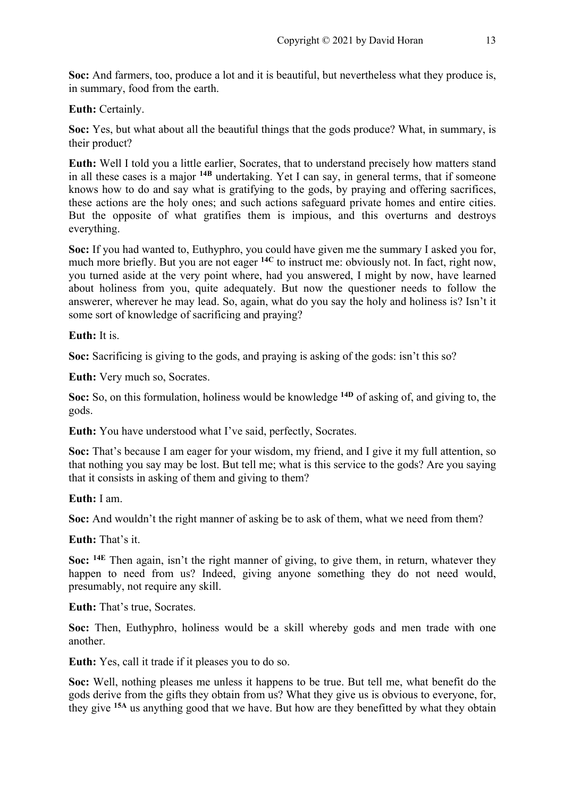**Soc:** And farmers, too, produce a lot and it is beautiful, but nevertheless what they produce is, in summary, food from the earth.

**Euth:** Certainly.

**Soc:** Yes, but what about all the beautiful things that the gods produce? What, in summary, is their product?

**Euth:** Well I told you a little earlier, Socrates, that to understand precisely how matters stand in all these cases is a major **14B** undertaking. Yet I can say, in general terms, that if someone knows how to do and say what is gratifying to the gods, by praying and offering sacrifices, these actions are the holy ones; and such actions safeguard private homes and entire cities. But the opposite of what gratifies them is impious, and this overturns and destroys everything.

**Soc:** If you had wanted to, Euthyphro, you could have given me the summary I asked you for, much more briefly. But you are not eager **14C** to instruct me: obviously not. In fact, right now, you turned aside at the very point where, had you answered, I might by now, have learned about holiness from you, quite adequately. But now the questioner needs to follow the answerer, wherever he may lead. So, again, what do you say the holy and holiness is? Isn't it some sort of knowledge of sacrificing and praying?

**Euth:** It is.

**Soc:** Sacrificing is giving to the gods, and praying is asking of the gods: isn't this so?

**Euth:** Very much so, Socrates.

**Soc:** So, on this formulation, holiness would be knowledge **14D** of asking of, and giving to, the gods.

**Euth:** You have understood what I've said, perfectly, Socrates.

**Soc:** That's because I am eager for your wisdom, my friend, and I give it my full attention, so that nothing you say may be lost. But tell me; what is this service to the gods? Are you saying that it consists in asking of them and giving to them?

**Euth:** I am.

**Soc:** And wouldn't the right manner of asking be to ask of them, what we need from them?

**Euth:** That's it.

**Soc: 14E** Then again, isn't the right manner of giving, to give them, in return, whatever they happen to need from us? Indeed, giving anyone something they do not need would, presumably, not require any skill.

**Euth:** That's true, Socrates.

**Soc:** Then, Euthyphro, holiness would be a skill whereby gods and men trade with one another.

**Euth:** Yes, call it trade if it pleases you to do so.

**Soc:** Well, nothing pleases me unless it happens to be true. But tell me, what benefit do the gods derive from the gifts they obtain from us? What they give us is obvious to everyone, for, they give **15A** us anything good that we have. But how are they benefitted by what they obtain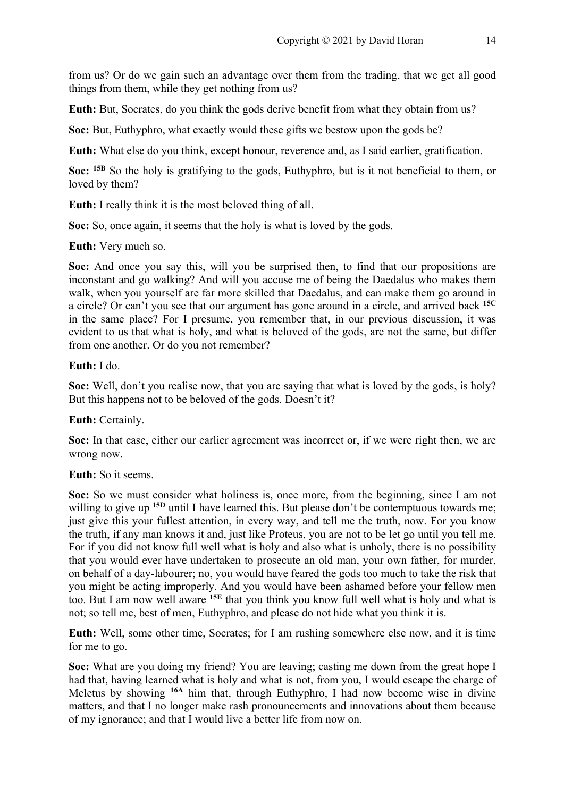from us? Or do we gain such an advantage over them from the trading, that we get all good things from them, while they get nothing from us?

**Euth:** But, Socrates, do you think the gods derive benefit from what they obtain from us?

**Soc:** But, Euthyphro, what exactly would these gifts we bestow upon the gods be?

**Euth:** What else do you think, except honour, reverence and, as I said earlier, gratification.

**Soc: 15B** So the holy is gratifying to the gods, Euthyphro, but is it not beneficial to them, or loved by them?

**Euth:** I really think it is the most beloved thing of all.

**Soc:** So, once again, it seems that the holy is what is loved by the gods.

**Euth:** Very much so.

**Soc:** And once you say this, will you be surprised then, to find that our propositions are inconstant and go walking? And will you accuse me of being the Daedalus who makes them walk, when you yourself are far more skilled that Daedalus, and can make them go around in a circle? Or can't you see that our argument has gone around in a circle, and arrived back **15C** in the same place? For I presume, you remember that, in our previous discussion, it was evident to us that what is holy, and what is beloved of the gods, are not the same, but differ from one another. Or do you not remember?

**Euth:** I do.

**Soc:** Well, don't you realise now, that you are saying that what is loved by the gods, is holy? But this happens not to be beloved of the gods. Doesn't it?

**Euth:** Certainly.

**Soc:** In that case, either our earlier agreement was incorrect or, if we were right then, we are wrong now.

# **Euth:** So it seems.

Soc: So we must consider what holiness is, once more, from the beginning, since I am not willing to give up <sup>15D</sup> until I have learned this. But please don't be contemptuous towards me; just give this your fullest attention, in every way, and tell me the truth, now. For you know the truth, if any man knows it and, just like Proteus, you are not to be let go until you tell me. For if you did not know full well what is holy and also what is unholy, there is no possibility that you would ever have undertaken to prosecute an old man, your own father, for murder, on behalf of a day-labourer; no, you would have feared the gods too much to take the risk that you might be acting improperly. And you would have been ashamed before your fellow men too. But I am now well aware **15E** that you think you know full well what is holy and what is not; so tell me, best of men, Euthyphro, and please do not hide what you think it is.

**Euth:** Well, some other time, Socrates; for I am rushing somewhere else now, and it is time for me to go.

**Soc:** What are you doing my friend? You are leaving; casting me down from the great hope I had that, having learned what is holy and what is not, from you, I would escape the charge of Meletus by showing **16A** him that, through Euthyphro, I had now become wise in divine matters, and that I no longer make rash pronouncements and innovations about them because of my ignorance; and that I would live a better life from now on.